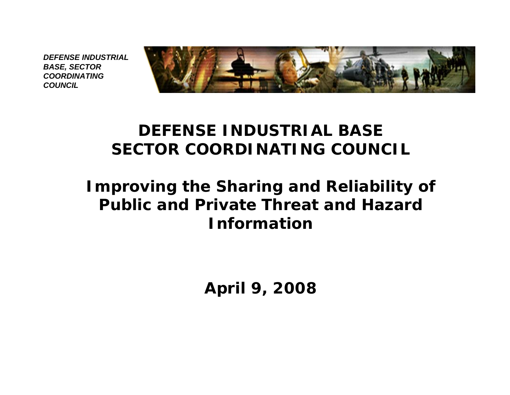

#### *DEFENSE INDUSTRIAL BASESECTOR COORDINATING COUNCIL*

#### *Improving the Sharing and Reliability of Public and Private Threat and Hazard Information*

*April 9, 2008*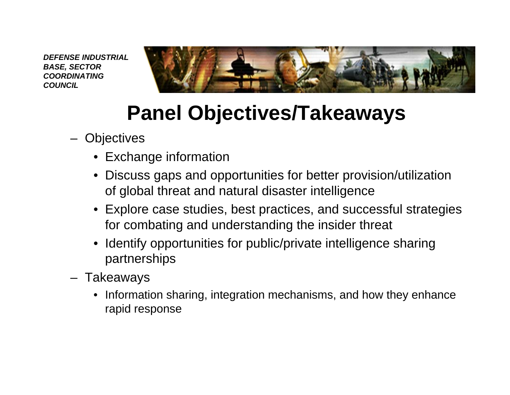

# **Panel Objectives/Takeaways**

- **Objectives** 
	- Exchange information
	- Discuss gaps and opportunities for better provision/utilization of global threat and natural disaster intelligence
	- Explore case studies, best practices, and successful strategies for combating and understanding the insider threat
	- Identify opportunities for public/private intelligence sharing partnerships
- Takeaways
	- Information sharing, integration mechanisms, and how they enhance rapid response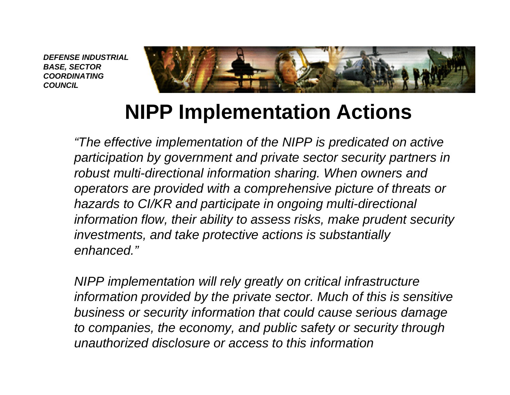

## **NIPP Implementation Actions**

*"The effective implementation of the NIPP is predicated on active participation by government and private sector security partners in robust multi-directional information sharing. When owners and operators are provided with a comprehensive picture of threats or hazards to CI/KR and participate in ongoing multi-directional information flow, their ability to assess risks, make prudent security investments, and take protective actions is substantially enhanced."*

*NIPP implementation will rely greatly on critical infrastructure information provided by the private sector. Much of this is sensitive business or security information that could cause serious damage to companies, the economy, and public safety or security through unauthorized disclosure or access to this information*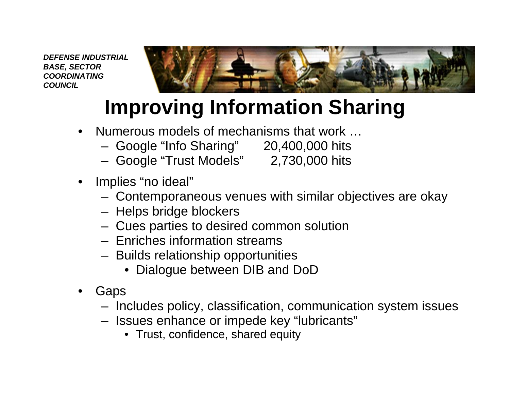

# **Improving Information Sharing**

- Numerous models of mechanisms that work …
	- Google "Info Sharing" 20,400,000 hits
	- Google "Trust Models" 2,730,000 hits

- Implies "no ideal"
	- Contemporaneous venues with similar objectives are okay
	- Helps bridge blockers
	- Cues parties to desired common solution
	- Enriches information streams
	- Builds relationship opportunities
		- Dialogue between DIB and DoD
- • Gaps
	- Includes policy, classification, communication system issues
	- Issues enhance or impede key "lubricants"
		- Trust, confidence, shared equity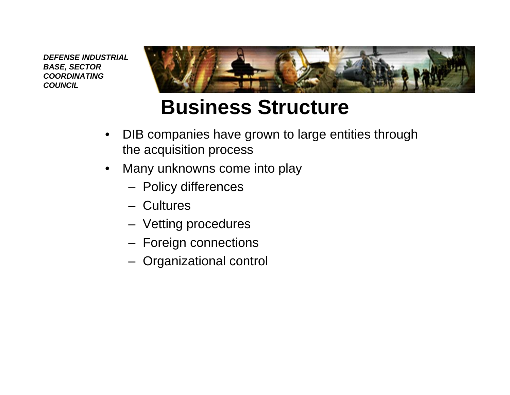

# **Business Structure**

- • DIB companies have grown to large entities through the acquisition process
- • Many unknowns come into play
	- Policy differences
	- Cultures
	- Vetting procedures
	- Foreign connections
	- Organizational control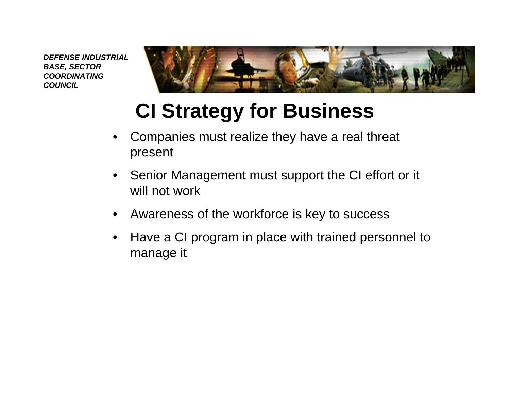

# **CI Strategy for Business**

- • Companies must realize they have a real threat present
- • Senior Management must support the CI effort or it will not work
- •Awareness of the workforce is key to success
- • Have a CI program in place with trained personnel to manage it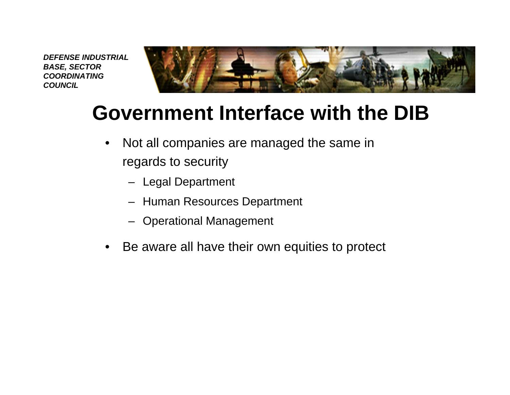

## **Government Interface with the DIB**

- $\bullet$  Not all companies are managed the same in regards to security
	- Legal Department
	- Human Resources Department
	- Operational Management
- •Be aware all have their own equities to protect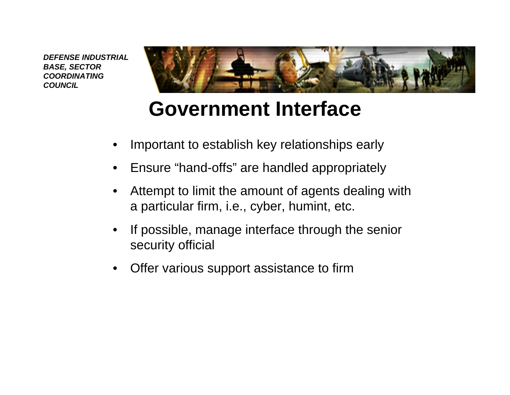

## **Government Interface**

- •Important to establish key relationships early
- •Ensure "hand-offs" are handled appropriately
- • Attempt to limit the amount of agents dealing with a particular firm, i.e., cyber, humint, etc.
- • If possible, manage interface through the senior security official
- $\bullet$ Offer various support assistance to firm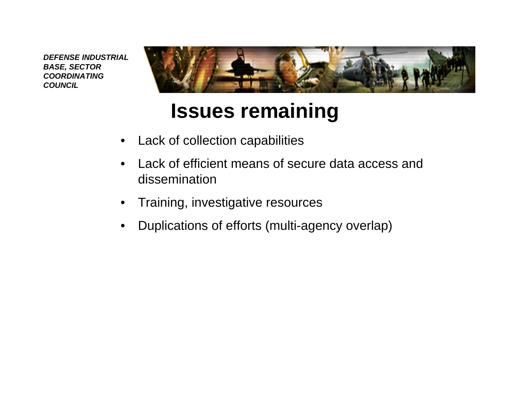

### **Issues remaining**

- •Lack of collection capabilities
- • Lack of efficient means of secure data access and dissemination
- •Training, investigative resources
- •Duplications of efforts (multi-agency overlap)